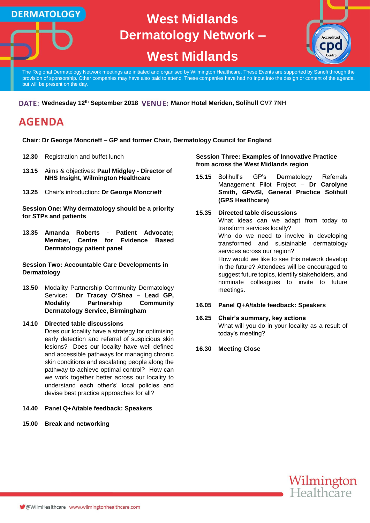

# **West Midlands**



The Regional Dermatology Network meetings are initiated and organised by Wilmington Healthcare. These Events are supported by Sanofi through the provision of sponsorship. Other companies may have also paid to attend. These companies have had no input into the design or content of the agenda, but will be present on the day.

### **DATE: Wednesday 12<sup>th</sup> September 2018 VENUE: Manor Hotel Meriden, Solihull CV7 7NH**

## **AGENDA**

**DERMATOLOGY** 

**Chair: Dr George Moncrieff – GP and former Chair, Dermatology Council for England**

- **12.30** Registration and buffet lunch
- **13.15** Aims & objectives: **Paul Midgley - Director of NHS Insight, Wilmington Healthcare**
- **13.25** Chair's introduction**: Dr George Moncrieff**

**Session One: Why dermatology should be a priority for STPs and patients**

**13.35 Amanda Roberts** - **Patient Advocate; Member, Centre for Evidence Based Dermatology patient panel**

**Session Two: Accountable Care Developments in Dermatology**

**13.50** Modality Partnership Community Dermatology Service**: Dr Tracey O'Shea – Lead GP, Modality Partnership Community Dermatology Service, Birmingham**

### **14.10 Directed table discussions**

Does our locality have a strategy for optimising early detection and referral of suspicious skin lesions? Does our locality have well defined and accessible pathways for managing chronic skin conditions and escalating people along the pathway to achieve optimal control? How can we work together better across our locality to understand each other's' local policies and devise best practice approaches for all?

#### **14.40 Panel Q+A/table feedback: Speakers**

**15.00 Break and networking**

#### **Session Three: Examples of Innovative Practice from across the West Midlands region**

**15.15** Solihull's GP's Dermatology Referrals Management Pilot Project – **Dr Carolyne Smith, GPwSI, General Practice Solihull (GPS Healthcare)**

#### **15.35 Directed table discussions** What ideas can we adapt from today to transform services locally? Who do we need to involve in developing transformed and sustainable dermatology services across our region? How would we like to see this network develop in the future? Attendees will be encouraged to suggest future topics, identify stakeholders, and nominate colleagues to invite to future meetings.

#### **16.05 Panel Q+A/table feedback: Speakers**

#### **16.25 Chair's summary, key actions**

What will you do in your locality as a result of today's meeting?

**16.30 Meeting Close**